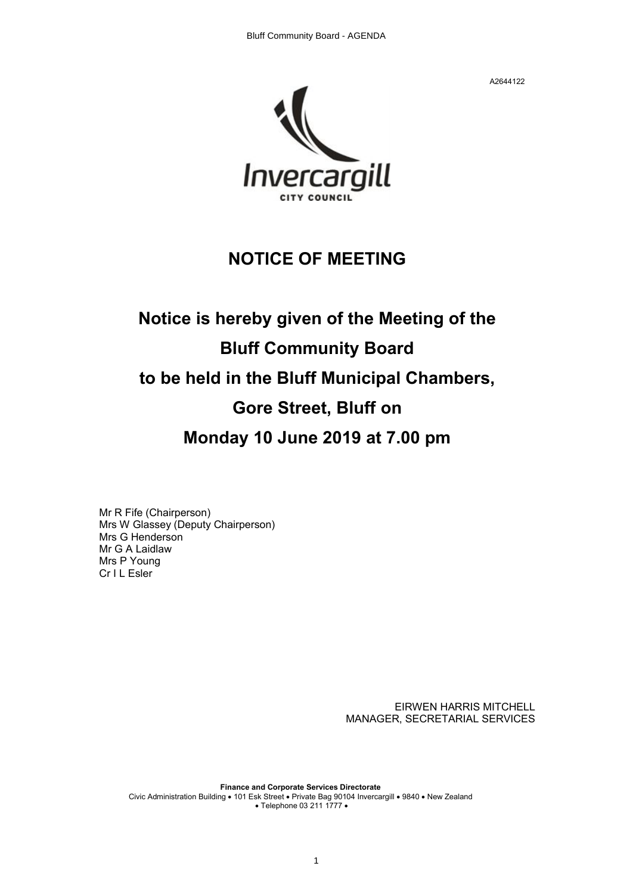

### **NOTICE OF MEETING**

## **Notice is hereby given of the Meeting of the Bluff Community Board to be held in the Bluff Municipal Chambers, Gore Street, Bluff on Monday 10 June 2019 at 7.00 pm**

Mr R Fife (Chairperson) Mrs W Glassey (Deputy Chairperson) Mrs G Henderson Mr G A Laidlaw Mrs P Young Cr I L Esler

> EIRWEN HARRIS MITCHELL MANAGER, SECRETARIAL SERVICES

**Finance and Corporate Services Directorate** Civic Administration Building • 101 Esk Street • Private Bag 90104 Invercargill • 9840 • New Zealand • Telephone 03 211 1777 •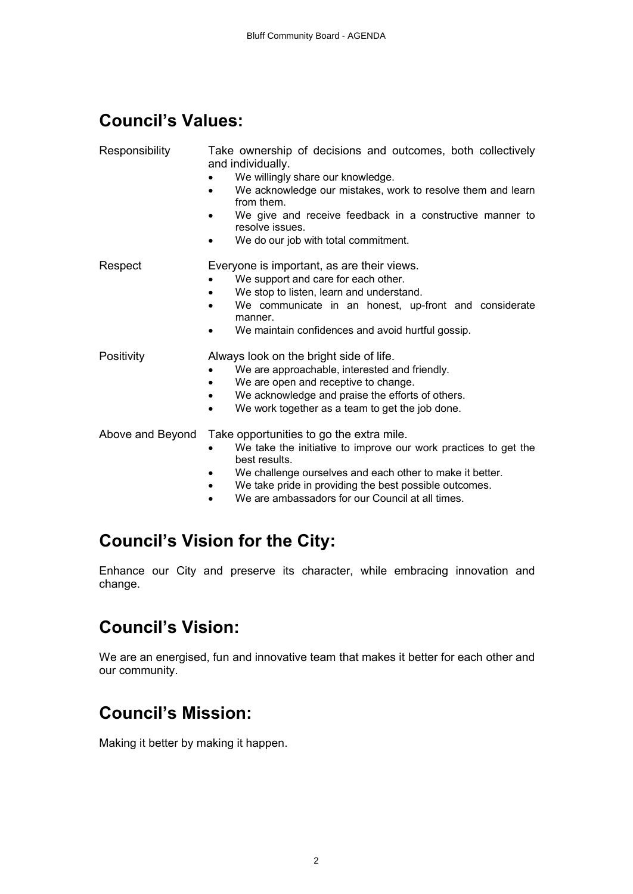## **Council's Values:**

| Responsibility   | Take ownership of decisions and outcomes, both collectively<br>and individually.<br>We willingly share our knowledge.<br>We acknowledge our mistakes, work to resolve them and learn<br>from them.<br>We give and receive feedback in a constructive manner to<br>resolve issues.<br>We do our job with total commitment. |
|------------------|---------------------------------------------------------------------------------------------------------------------------------------------------------------------------------------------------------------------------------------------------------------------------------------------------------------------------|
| Respect          | Everyone is important, as are their views.<br>We support and care for each other.<br>We stop to listen, learn and understand.<br>We communicate in an honest, up-front and considerate<br>$\bullet$<br>manner.<br>We maintain confidences and avoid hurtful gossip.<br>$\bullet$                                          |
| Positivity       | Always look on the bright side of life.<br>We are approachable, interested and friendly.<br>We are open and receptive to change.<br>٠<br>We acknowledge and praise the efforts of others.<br>$\bullet$<br>We work together as a team to get the job done.<br>$\bullet$                                                    |
| Above and Beyond | Take opportunities to go the extra mile.<br>We take the initiative to improve our work practices to get the<br>best results.<br>We challenge ourselves and each other to make it better.<br>We take pride in providing the best possible outcomes.<br>٠<br>We are ambassadors for our Council at all times.<br>$\bullet$  |

## **Council's Vision for the City:**

Enhance our City and preserve its character, while embracing innovation and change.

## **Council's Vision:**

We are an energised, fun and innovative team that makes it better for each other and our community.

## **Council's Mission:**

Making it better by making it happen.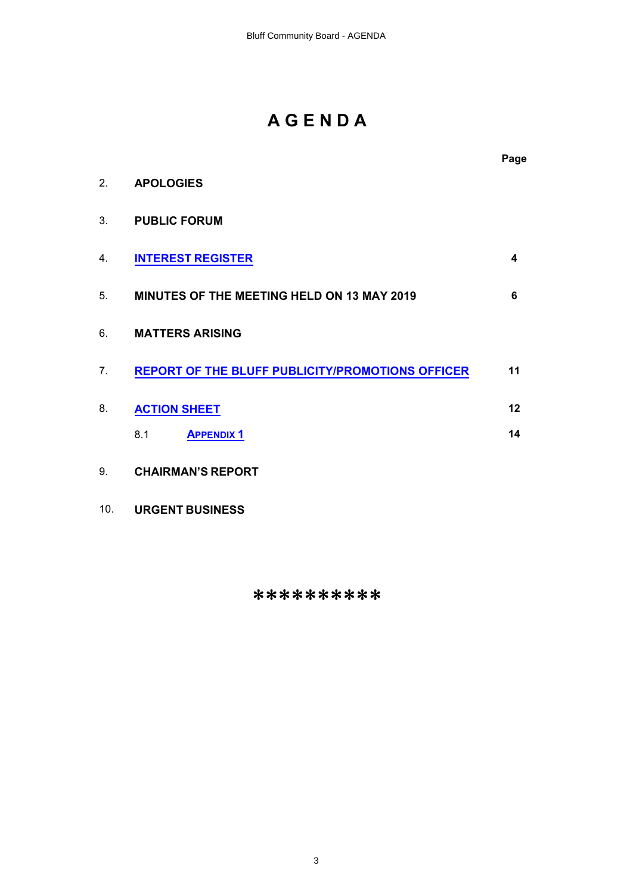## **A G E N D A**

|                |                                                         | Page |
|----------------|---------------------------------------------------------|------|
| 2 <sub>1</sub> | <b>APOLOGIES</b>                                        |      |
| 3.             | <b>PUBLIC FORUM</b>                                     |      |
| 4.             | <b>INTEREST REGISTER</b>                                | 4    |
| 5.             | <b>MINUTES OF THE MEETING HELD ON 13 MAY 2019</b>       | 6    |
| 6.             | <b>MATTERS ARISING</b>                                  |      |
| 7 <sub>1</sub> | <b>REPORT OF THE BLUFF PUBLICITY/PROMOTIONS OFFICER</b> | 11   |
| 8.             | <b>ACTION SHEET</b>                                     | 12   |
|                | <b>APPENDIX 1</b><br>8.1                                | 14   |
| 9.             | <b>CHAIRMAN'S REPORT</b>                                |      |

10. **URGENT BUSINESS**

\*\*\*\*\*\*\*\*\*\*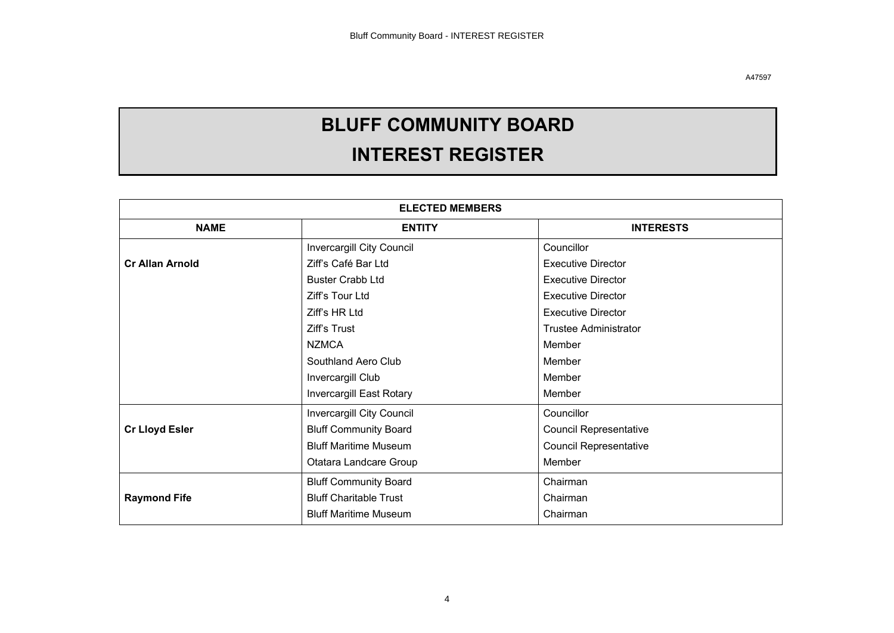# **BLUFF COMMUNITY BOARD**

## **INTEREST REGISTER**

<span id="page-3-0"></span>

| <b>ELECTED MEMBERS</b> |                                   |                               |  |  |
|------------------------|-----------------------------------|-------------------------------|--|--|
| <b>NAME</b>            | <b>ENTITY</b><br><b>INTERESTS</b> |                               |  |  |
|                        | Invercargill City Council         | Councillor                    |  |  |
| <b>Cr Allan Arnold</b> | Ziff's Café Bar Ltd               | <b>Executive Director</b>     |  |  |
|                        | <b>Buster Crabb Ltd</b>           | <b>Executive Director</b>     |  |  |
|                        | Ziff's Tour Ltd                   | <b>Executive Director</b>     |  |  |
|                        | Ziff's HR Ltd                     | <b>Executive Director</b>     |  |  |
|                        | Ziff's Trust                      | <b>Trustee Administrator</b>  |  |  |
|                        | <b>NZMCA</b>                      | Member                        |  |  |
|                        | Southland Aero Club               | Member                        |  |  |
|                        | Invercargill Club                 | Member                        |  |  |
|                        | Invercargill East Rotary          | Member                        |  |  |
|                        | <b>Invercargill City Council</b>  | Councillor                    |  |  |
| <b>Cr Lloyd Esler</b>  | <b>Bluff Community Board</b>      | <b>Council Representative</b> |  |  |
|                        | <b>Bluff Maritime Museum</b>      | <b>Council Representative</b> |  |  |
|                        | Otatara Landcare Group            | Member                        |  |  |
|                        | <b>Bluff Community Board</b>      | Chairman                      |  |  |
| <b>Raymond Fife</b>    | <b>Bluff Charitable Trust</b>     | Chairman                      |  |  |
|                        | <b>Bluff Maritime Museum</b>      | Chairman                      |  |  |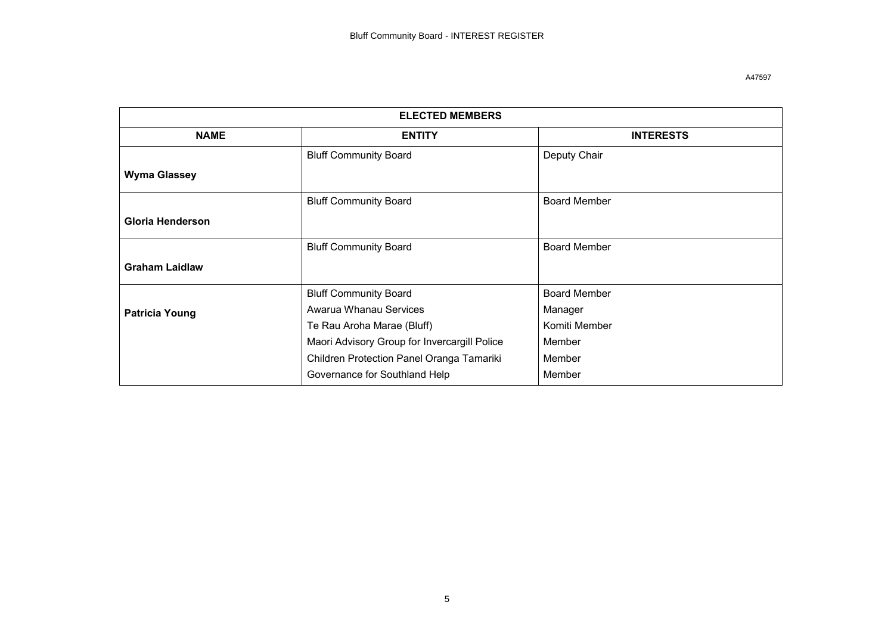| <b>ELECTED MEMBERS</b> |                                              |                     |  |  |
|------------------------|----------------------------------------------|---------------------|--|--|
| <b>NAME</b>            | <b>ENTITY</b>                                | <b>INTERESTS</b>    |  |  |
|                        | <b>Bluff Community Board</b>                 | Deputy Chair        |  |  |
| <b>Wyma Glassey</b>    |                                              |                     |  |  |
|                        | <b>Bluff Community Board</b>                 | <b>Board Member</b> |  |  |
| Gloria Henderson       |                                              |                     |  |  |
|                        | <b>Bluff Community Board</b>                 | <b>Board Member</b> |  |  |
| <b>Graham Laidlaw</b>  |                                              |                     |  |  |
|                        | <b>Bluff Community Board</b>                 | <b>Board Member</b> |  |  |
| <b>Patricia Young</b>  | Awarua Whanau Services                       | Manager             |  |  |
|                        | Te Rau Aroha Marae (Bluff)                   | Komiti Member       |  |  |
|                        | Maori Advisory Group for Invercargill Police | Member              |  |  |
|                        | Children Protection Panel Oranga Tamariki    | Member              |  |  |
|                        | Governance for Southland Help                | Member              |  |  |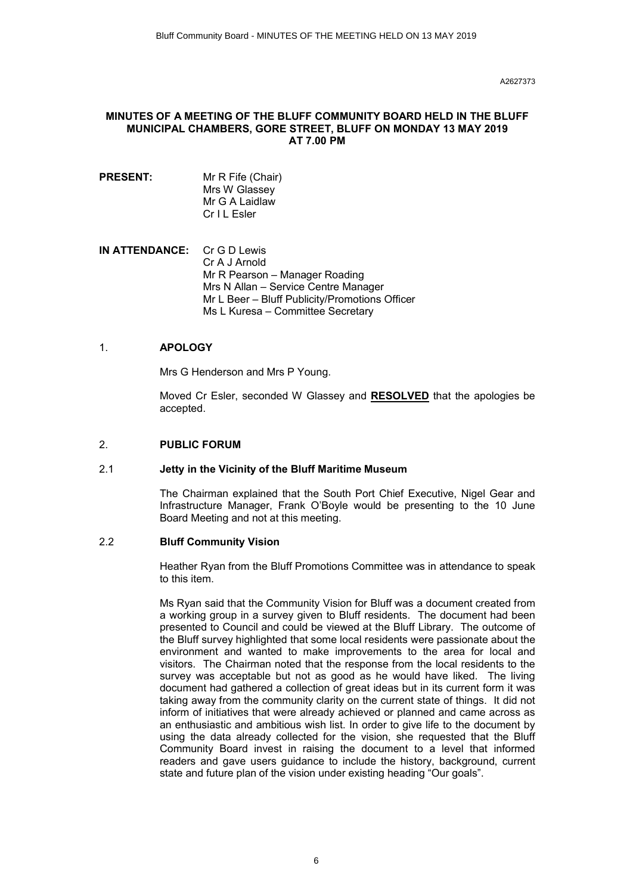#### **MINUTES OF A MEETING OF THE BLUFF COMMUNITY BOARD HELD IN THE BLUFF MUNICIPAL CHAMBERS, GORE STREET, BLUFF ON MONDAY 13 MAY 2019 AT 7.00 PM**

- **PRESENT:** Mr R Fife (Chair) Mrs W Glassey Mr G A Laidlaw Cr I L Esler
- **IN ATTENDANCE:** Cr G D Lewis Cr A J Arnold Mr R Pearson – Manager Roading Mrs N Allan – Service Centre Manager Mr L Beer – Bluff Publicity/Promotions Officer Ms L Kuresa – Committee Secretary

#### 1. **APOLOGY**

Mrs G Henderson and Mrs P Young.

Moved Cr Esler, seconded W Glassey and **RESOLVED** that the apologies be accepted.

#### 2. **PUBLIC FORUM**

#### 2.1 **Jetty in the Vicinity of the Bluff Maritime Museum**

The Chairman explained that the South Port Chief Executive, Nigel Gear and Infrastructure Manager, Frank O'Boyle would be presenting to the 10 June Board Meeting and not at this meeting.

#### 2.2 **Bluff Community Vision**

Heather Ryan from the Bluff Promotions Committee was in attendance to speak to this item.

Ms Ryan said that the Community Vision for Bluff was a document created from a working group in a survey given to Bluff residents. The document had been presented to Council and could be viewed at the Bluff Library. The outcome of the Bluff survey highlighted that some local residents were passionate about the environment and wanted to make improvements to the area for local and visitors. The Chairman noted that the response from the local residents to the survey was acceptable but not as good as he would have liked. The living document had gathered a collection of great ideas but in its current form it was taking away from the community clarity on the current state of things. It did not inform of initiatives that were already achieved or planned and came across as an enthusiastic and ambitious wish list. In order to give life to the document by using the data already collected for the vision, she requested that the Bluff Community Board invest in raising the document to a level that informed readers and gave users guidance to include the history, background, current state and future plan of the vision under existing heading "Our goals".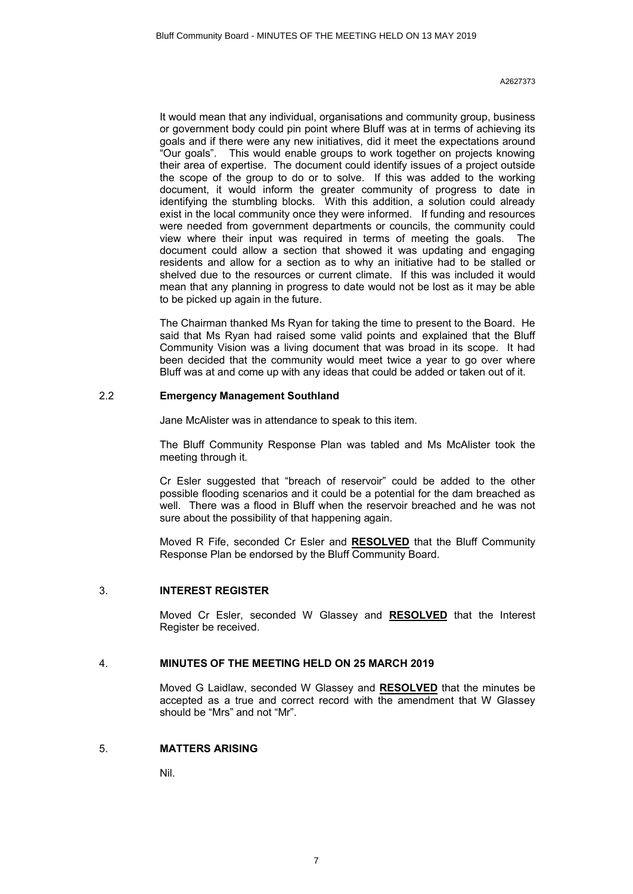It would mean that any individual, organisations and community group, business or government body could pin point where Bluff was at in terms of achieving its goals and if there were any new initiatives, did it meet the expectations around "Our goals". This would enable groups to work together on projects knowing their area of expertise. The document could identify issues of a project outside the scope of the group to do or to solve. If this was added to the working document, it would inform the greater community of progress to date in identifying the stumbling blocks. With this addition, a solution could already exist in the local community once they were informed. If funding and resources were needed from government departments or councils, the community could view where their input was required in terms of meeting the goals. The document could allow a section that showed it was updating and engaging residents and allow for a section as to why an initiative had to be stalled or shelved due to the resources or current climate. If this was included it would mean that any planning in progress to date would not be lost as it may be able to be picked up again in the future.

The Chairman thanked Ms Ryan for taking the time to present to the Board. He said that Ms Ryan had raised some valid points and explained that the Bluff Community Vision was a living document that was broad in its scope. It had been decided that the community would meet twice a year to go over where Bluff was at and come up with any ideas that could be added or taken out of it.

#### 2.2 **Emergency Management Southland**

Jane McAlister was in attendance to speak to this item.

The Bluff Community Response Plan was tabled and Ms McAlister took the meeting through it.

Cr Esler suggested that "breach of reservoir" could be added to the other possible flooding scenarios and it could be a potential for the dam breached as well. There was a flood in Bluff when the reservoir breached and he was not sure about the possibility of that happening again.

Moved R Fife, seconded Cr Esler and **RESOLVED** that the Bluff Community Response Plan be endorsed by the Bluff Community Board.

#### 3. **INTEREST REGISTER**

Moved Cr Esler, seconded W Glassey and **RESOLVED** that the Interest Register be received.

#### 4. **MINUTES OF THE MEETING HELD ON 25 MARCH 2019**

Moved G Laidlaw, seconded W Glassey and **RESOLVED** that the minutes be accepted as a true and correct record with the amendment that W Glassey should be "Mrs" and not "Mr".

#### 5. **MATTERS ARISING**

Nil.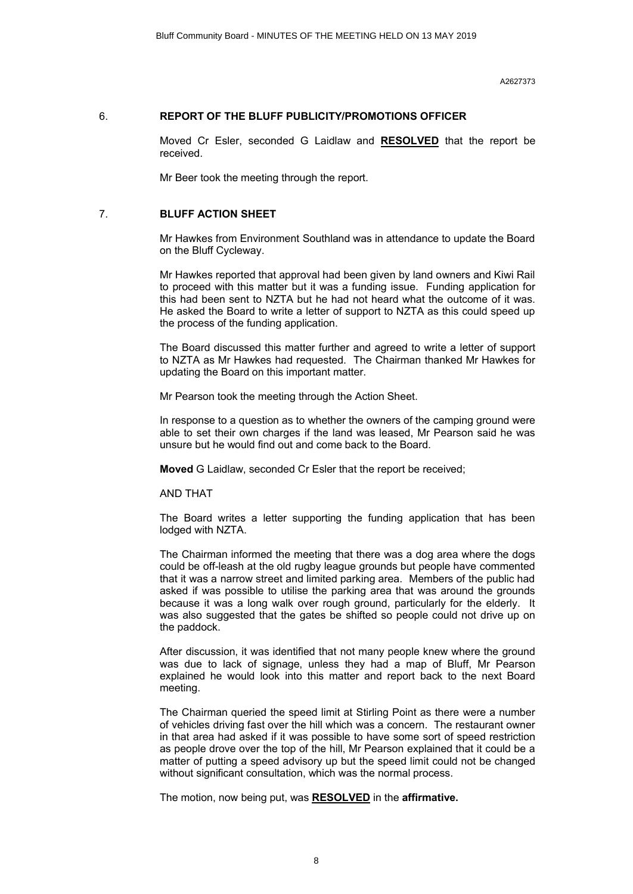#### 6. **REPORT OF THE BLUFF PUBLICITY/PROMOTIONS OFFICER**

Moved Cr Esler, seconded G Laidlaw and **RESOLVED** that the report be received.

Mr Beer took the meeting through the report.

#### 7. **BLUFF ACTION SHEET**

Mr Hawkes from Environment Southland was in attendance to update the Board on the Bluff Cycleway.

Mr Hawkes reported that approval had been given by land owners and Kiwi Rail to proceed with this matter but it was a funding issue. Funding application for this had been sent to NZTA but he had not heard what the outcome of it was. He asked the Board to write a letter of support to NZTA as this could speed up the process of the funding application.

The Board discussed this matter further and agreed to write a letter of support to NZTA as Mr Hawkes had requested. The Chairman thanked Mr Hawkes for updating the Board on this important matter.

Mr Pearson took the meeting through the Action Sheet.

In response to a question as to whether the owners of the camping ground were able to set their own charges if the land was leased, Mr Pearson said he was unsure but he would find out and come back to the Board.

**Moved** G Laidlaw, seconded Cr Esler that the report be received;

AND THAT

The Board writes a letter supporting the funding application that has been lodged with NZTA.

The Chairman informed the meeting that there was a dog area where the dogs could be off-leash at the old rugby league grounds but people have commented that it was a narrow street and limited parking area. Members of the public had asked if was possible to utilise the parking area that was around the grounds because it was a long walk over rough ground, particularly for the elderly. It was also suggested that the gates be shifted so people could not drive up on the paddock.

After discussion, it was identified that not many people knew where the ground was due to lack of signage, unless they had a map of Bluff, Mr Pearson explained he would look into this matter and report back to the next Board meeting.

The Chairman queried the speed limit at Stirling Point as there were a number of vehicles driving fast over the hill which was a concern. The restaurant owner in that area had asked if it was possible to have some sort of speed restriction as people drove over the top of the hill, Mr Pearson explained that it could be a matter of putting a speed advisory up but the speed limit could not be changed without significant consultation, which was the normal process.

The motion, now being put, was **RESOLVED** in the **affirmative.**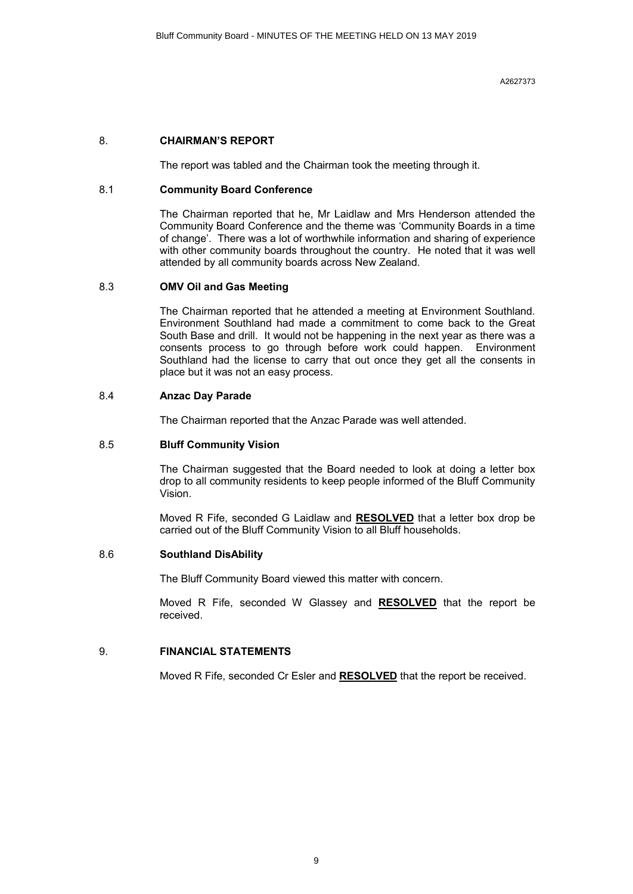#### 8. **CHAIRMAN'S REPORT**

The report was tabled and the Chairman took the meeting through it.

#### 8.1 **Community Board Conference**

The Chairman reported that he, Mr Laidlaw and Mrs Henderson attended the Community Board Conference and the theme was 'Community Boards in a time of change'. There was a lot of worthwhile information and sharing of experience with other community boards throughout the country. He noted that it was well attended by all community boards across New Zealand.

#### 8.3 **OMV Oil and Gas Meeting**

The Chairman reported that he attended a meeting at Environment Southland. Environment Southland had made a commitment to come back to the Great South Base and drill. It would not be happening in the next year as there was a consents process to go through before work could happen. Environment Southland had the license to carry that out once they get all the consents in place but it was not an easy process.

#### 8.4 **Anzac Day Parade**

The Chairman reported that the Anzac Parade was well attended.

#### 8.5 **Bluff Community Vision**

The Chairman suggested that the Board needed to look at doing a letter box drop to all community residents to keep people informed of the Bluff Community Vision.

Moved R Fife, seconded G Laidlaw and **RESOLVED** that a letter box drop be carried out of the Bluff Community Vision to all Bluff households.

#### 8.6 **Southland DisAbility**

The Bluff Community Board viewed this matter with concern.

Moved R Fife, seconded W Glassey and **RESOLVED** that the report be received.

#### 9. **FINANCIAL STATEMENTS**

Moved R Fife, seconded Cr Esler and **RESOLVED** that the report be received.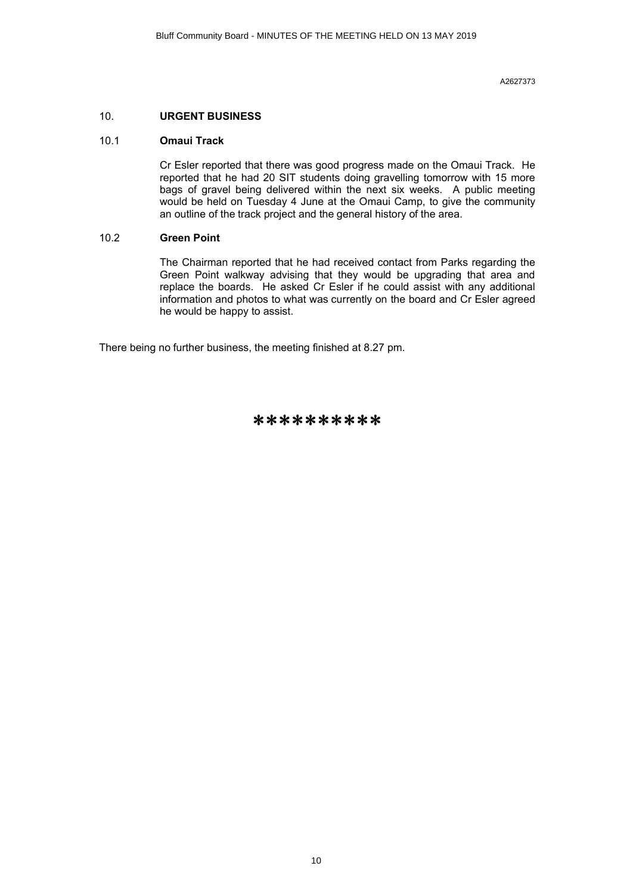#### 10. **URGENT BUSINESS**

#### 10.1 **Omaui Track**

Cr Esler reported that there was good progress made on the Omaui Track. He reported that he had 20 SIT students doing gravelling tomorrow with 15 more bags of gravel being delivered within the next six weeks. A public meeting would be held on Tuesday 4 June at the Omaui Camp, to give the community an outline of the track project and the general history of the area.

#### 10.2 **Green Point**

The Chairman reported that he had received contact from Parks regarding the Green Point walkway advising that they would be upgrading that area and replace the boards. He asked Cr Esler if he could assist with any additional information and photos to what was currently on the board and Cr Esler agreed he would be happy to assist.

There being no further business, the meeting finished at 8.27 pm.

\*\*\*\*\*\*\*\*\*\*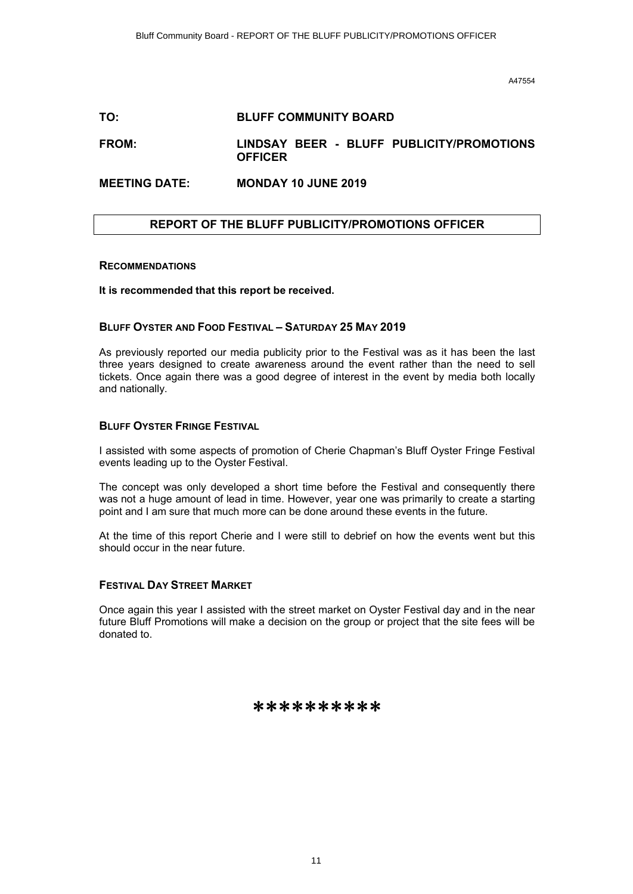#### <span id="page-10-0"></span>**TO: BLUFF COMMUNITY BOARD**

#### **FROM: LINDSAY BEER - BLUFF PUBLICITY/PROMOTIONS OFFICER**

#### **MEETING DATE: MONDAY 10 JUNE 2019**

#### **REPORT OF THE BLUFF PUBLICITY/PROMOTIONS OFFICER**

#### **RECOMMENDATIONS**

**It is recommended that this report be received.**

#### **BLUFF OYSTER AND FOOD FESTIVAL – SATURDAY 25 MAY 2019**

As previously reported our media publicity prior to the Festival was as it has been the last three years designed to create awareness around the event rather than the need to sell tickets. Once again there was a good degree of interest in the event by media both locally and nationally.

#### **BLUFF OYSTER FRINGE FESTIVAL**

I assisted with some aspects of promotion of Cherie Chapman's Bluff Oyster Fringe Festival events leading up to the Oyster Festival.

The concept was only developed a short time before the Festival and consequently there was not a huge amount of lead in time. However, year one was primarily to create a starting point and I am sure that much more can be done around these events in the future.

At the time of this report Cherie and I were still to debrief on how the events went but this should occur in the near future.

#### **FESTIVAL DAY STREET MARKET**

Once again this year I assisted with the street market on Oyster Festival day and in the near future Bluff Promotions will make a decision on the group or project that the site fees will be donated to.

#### \*\*\*\*\*\*\*\*\*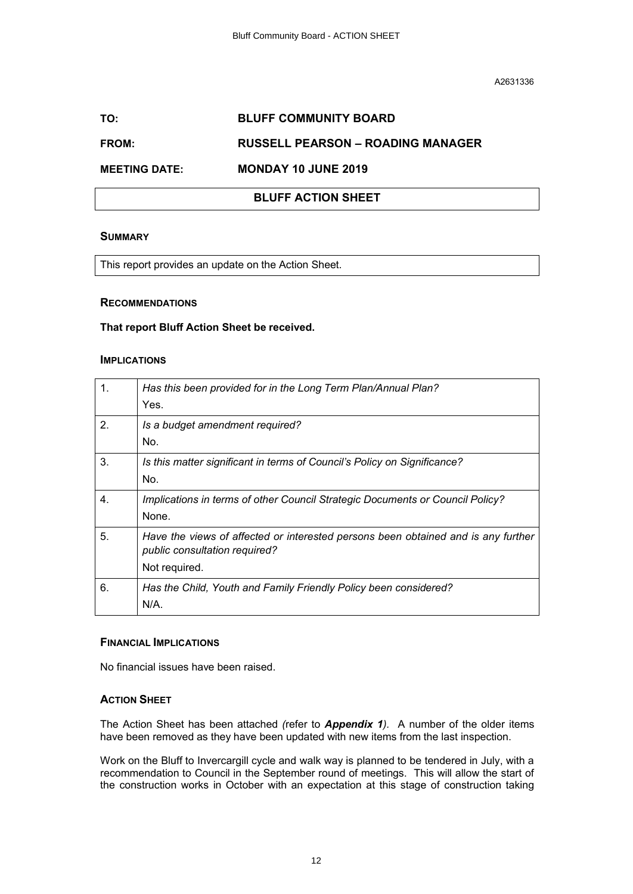#### <span id="page-11-0"></span>**TO: BLUFF COMMUNITY BOARD**

#### **FROM: RUSSELL PEARSON – ROADING MANAGER**

#### **MEETING DATE: MONDAY 10 JUNE 2019**

#### **BLUFF ACTION SHEET**

#### **SUMMARY**

This report provides an update on the Action Sheet.

#### **RECOMMENDATIONS**

#### **That report Bluff Action Sheet be received.**

#### **IMPLICATIONS**

| 1. | Has this been provided for in the Long Term Plan/Annual Plan?<br>Yes.                                                               |
|----|-------------------------------------------------------------------------------------------------------------------------------------|
| 2. | Is a budget amendment required?<br>No.                                                                                              |
| 3. | Is this matter significant in terms of Council's Policy on Significance?<br>No.                                                     |
| 4. | Implications in terms of other Council Strategic Documents or Council Policy?<br>None.                                              |
| 5. | Have the views of affected or interested persons been obtained and is any further<br>public consultation required?<br>Not required. |
| 6. | Has the Child, Youth and Family Friendly Policy been considered?<br>N/A                                                             |

#### **FINANCIAL IMPLICATIONS**

No financial issues have been raised.

#### **ACTION SHEET**

The Action Sheet has been attached *(*refer to *Appendix 1).* A number of the older items have been removed as they have been updated with new items from the last inspection.

Work on the Bluff to Invercargill cycle and walk way is planned to be tendered in July, with a recommendation to Council in the September round of meetings. This will allow the start of the construction works in October with an expectation at this stage of construction taking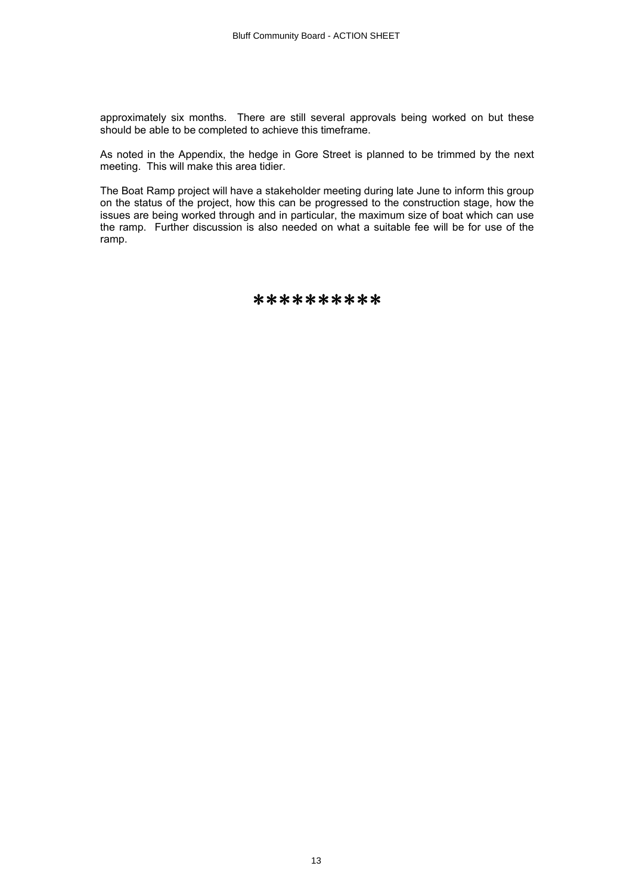approximately six months. There are still several approvals being worked on but these should be able to be completed to achieve this timeframe.

As noted in the Appendix, the hedge in Gore Street is planned to be trimmed by the next meeting. This will make this area tidier.

The Boat Ramp project will have a stakeholder meeting during late June to inform this group on the status of the project, how this can be progressed to the construction stage, how the issues are being worked through and in particular, the maximum size of boat which can use the ramp. Further discussion is also needed on what a suitable fee will be for use of the ramp.

\*\*\*\*\*\*\*\*\*\*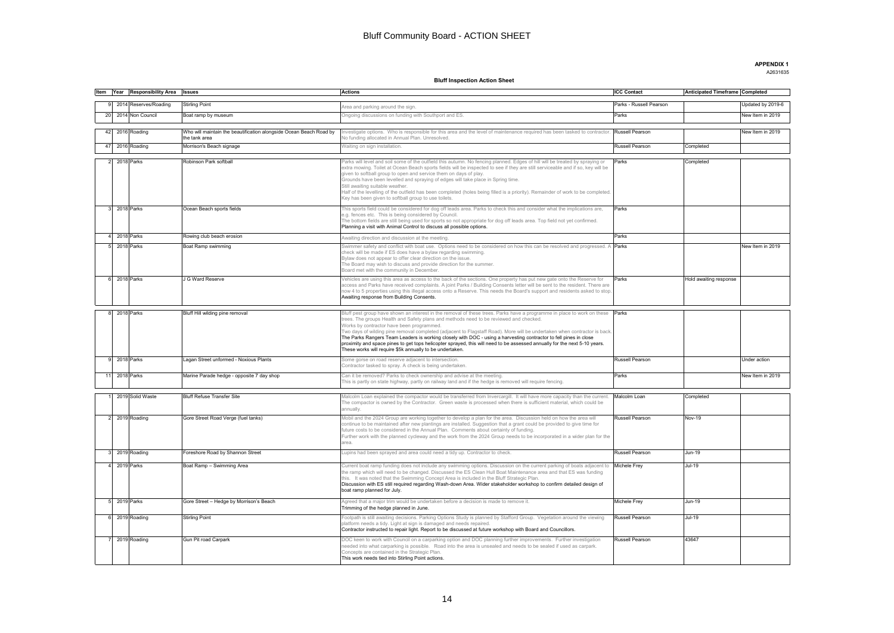**APPENDIX 1**

#### A2631635

#### **Bluff Inspection Action Sheet**

<span id="page-13-0"></span>

|               | Item Year Responsibility Area Issues |                                                                                     | <b>Actions</b>                                                                                                                                                                                                                                             | <b>ICC Contact</b>      | Anticipated Timeframe Completed |                   |
|---------------|--------------------------------------|-------------------------------------------------------------------------------------|------------------------------------------------------------------------------------------------------------------------------------------------------------------------------------------------------------------------------------------------------------|-------------------------|---------------------------------|-------------------|
|               | 2014 Reserves/Roading                | <b>Stirling Point</b>                                                               |                                                                                                                                                                                                                                                            | Parks - Russell Pearson |                                 | Updated by 2019-6 |
|               |                                      |                                                                                     | Area and parking around the sign.                                                                                                                                                                                                                          |                         |                                 |                   |
|               | 20 2014 Non Council                  | Boat ramp by museum                                                                 | Ongoing discussions on funding with Southport and ES.                                                                                                                                                                                                      | Parks                   |                                 | New Item in 2019  |
|               |                                      |                                                                                     |                                                                                                                                                                                                                                                            |                         |                                 |                   |
|               | 42 2016 Roading                      | Who will maintain the beautification alongside Ocean Beach Road by<br>the tank area | nvestigate options. Who is responsible for this area and the level of maintenance required has been tasked to contractor<br>Vo funding allocated in Annual Plan. Unresolved.                                                                               | Russell Pearson         |                                 | New Item in 2019  |
|               | 47 2016 Roading                      | Morrison's Beach signage                                                            | Waiting on sign installation.                                                                                                                                                                                                                              | Russell Pearson         | Completed                       |                   |
|               | 2018 Parks                           | Robinson Park softball                                                              | Parks will level and soil some of the outfield this autumn. No fencing planned. Edges of hill will be treated by spraying or                                                                                                                               | Parks                   | Completed                       |                   |
|               |                                      |                                                                                     | extra mowing. Toilet at Ocean Beach sports fields will be inspected to see if they are still serviceable and if so, key will be                                                                                                                            |                         |                                 |                   |
|               |                                      |                                                                                     | given to softball group to open and service them on days of play.<br>.<br>Grounds have been levelled and spraying of edges will take place in Spring time.                                                                                                 |                         |                                 |                   |
|               |                                      |                                                                                     | Still awaiting suitable weather.                                                                                                                                                                                                                           |                         |                                 |                   |
|               |                                      |                                                                                     | Half of the levelling of the outfield has been completed (holes being filled is a priority). Remainder of work to be completed.                                                                                                                            |                         |                                 |                   |
|               |                                      |                                                                                     | Key has been given to softball group to use toilets                                                                                                                                                                                                        |                         |                                 |                   |
|               | 3 2018 Parks                         | Ocean Beach sports fields                                                           | This sports field could be considered for dog off leads area. Parks to check this and consider what the implications are,                                                                                                                                  | Parks                   |                                 |                   |
|               |                                      |                                                                                     | e.g. fences etc. This is being considered by Council.<br>The bottom fields are still being used for sports so not appropriate for dog off leads area. Top field not yet confirmed.                                                                         |                         |                                 |                   |
|               |                                      |                                                                                     | Planning a visit with Animal Control to discuss all possible options.                                                                                                                                                                                      |                         |                                 |                   |
| 4 2018 Parks  |                                      | Rowing club beach erosion                                                           | Awaiting direction and discussion at the meeting.                                                                                                                                                                                                          | Parks                   |                                 |                   |
|               | 2018 Parks                           | Boat Ramp swimming                                                                  | Swimmer safety and conflict with boat use. Options need to be considered on how this can be resolved and progressed. A <b>Parks</b>                                                                                                                        |                         |                                 | New Item in 2019  |
|               |                                      |                                                                                     | check will be made if ES does have a bylaw regarding swimming.                                                                                                                                                                                             |                         |                                 |                   |
|               |                                      |                                                                                     | lylaw does not appear to offer clear direction on the issue.<br>The Board may wish to discuss and provide direction for the summer.                                                                                                                        |                         |                                 |                   |
|               |                                      |                                                                                     | Board met with the community in December.                                                                                                                                                                                                                  |                         |                                 |                   |
| 6 2018 Parks  |                                      | J G Ward Reserve                                                                    | Jehicles are using this area as access to the back of the sections. One property has put new gate onto the Reserve for                                                                                                                                     | Parks                   | Hold awaiting response          |                   |
|               |                                      |                                                                                     | access and Parks have received complaints. A joint Parks / Building Consents letter will be sent to the resident. There are<br>now 4 to 5 properties using this illegal access onto a Reserve. This needs the Board's support and residents asked to stop. |                         |                                 |                   |
|               |                                      |                                                                                     | Awaiting response from Building Consents.                                                                                                                                                                                                                  |                         |                                 |                   |
|               |                                      |                                                                                     |                                                                                                                                                                                                                                                            |                         |                                 |                   |
|               | 8 2018 Parks                         | Bluff Hill wilding pine removal                                                     | Bluff pest group have shown an interest in the removal of these trees. Parks have a programme in place to work on these Parks                                                                                                                              |                         |                                 |                   |
|               |                                      |                                                                                     | rees. The groups Health and Safety plans and methods need to be reviewed and checked.<br>Norks by contractor have been programmed.                                                                                                                         |                         |                                 |                   |
|               |                                      |                                                                                     | Two days of wilding pine removal completed (adjacent to Flagstaff Road). More will be undertaken when contractor is back.                                                                                                                                  |                         |                                 |                   |
|               |                                      |                                                                                     | The Parks Rangers Team Leaders is working closely with DOC - using a harvesting contractor to fell pines in close                                                                                                                                          |                         |                                 |                   |
|               |                                      |                                                                                     | proximity and space pines to get tops helicopter sprayed, this will need to be assessed annually for the next 5-10 years.<br>These works will require \$5k annually to be undertaken.                                                                      |                         |                                 |                   |
| 9 2018 Parks  |                                      | agan Street unformed - Noxious Plants                                               | ome gorse on road reserve adjacent to intersection.                                                                                                                                                                                                        | Russell Pearson         |                                 | Under action      |
|               |                                      |                                                                                     | Contractor tasked to spray. A check is being undertaken.                                                                                                                                                                                                   |                         |                                 |                   |
| 11 2018 Parks |                                      | Marine Parade hedge - opposite 7 day shop                                           | Can it be removed? Parks to check ownership and advise at the meeting.                                                                                                                                                                                     | Parks                   |                                 | New Item in 2019  |
|               |                                      |                                                                                     | his is partly on state highway, partly on railway land and if the hedge is removed will require fencing.                                                                                                                                                   |                         |                                 |                   |
|               | 2019 Solid Waste                     | <b>Bluff Refuse Transfer Site</b>                                                   | Malcolm Loan explained the compactor would be transferred from Invercargill. It will have more capacity than the current.                                                                                                                                  | Malcolm Loan            | Completed                       |                   |
|               |                                      |                                                                                     | The compactor is owned by the Contractor. Green waste is processed when there is sufficient material, which could be                                                                                                                                       |                         |                                 |                   |
|               |                                      |                                                                                     | annually.                                                                                                                                                                                                                                                  |                         |                                 |                   |
|               | 2019 Roading                         | Gore Street Road Verge (fuel tanks)                                                 | Mobil and the 2024 Group are working together to develop a plan for the area. Discussion held on how the area will                                                                                                                                         | Russell Pearson         | <b>Nov-19</b>                   |                   |
|               |                                      |                                                                                     | continue to be maintained after new plantings are installed. Suggestion that a grant could be provided to give time for<br>future costs to be considered in the Annual Plan. Comments about certainty of funding.                                          |                         |                                 |                   |
|               |                                      |                                                                                     | Further work with the planned cycleway and the work from the 2024 Group needs to be incorporated in a wider plan for the                                                                                                                                   |                         |                                 |                   |
|               |                                      |                                                                                     | area.                                                                                                                                                                                                                                                      |                         |                                 |                   |
|               | 2019 Roading                         | Foreshore Road by Shannon Street                                                    | upins had been sprayed and area could need a tidy up. Contractor to check.                                                                                                                                                                                 | Russell Pearson         | $Jun-19$                        |                   |
|               | 2019 Parks                           | Boat Ramp - Swimming Area                                                           | Current boat ramp funding does not include any swimming options. Discussion on the current parking of boats adjacent to                                                                                                                                    | Michele Frey            | Jul-19                          |                   |
|               |                                      |                                                                                     | he ramp which will need to be changed. Discussed the ES Clean Hull Boat Maintenance area and that ES was funding                                                                                                                                           |                         |                                 |                   |
|               |                                      |                                                                                     | his. It was noted that the Swimming Concept Area is included in the Bluff Strategic Plan.<br>Discussion with ES still required regarding Wash-down Area. Wider stakeholder workshop to confirm detailed design of                                          |                         |                                 |                   |
|               |                                      |                                                                                     | boat ramp planned for July.                                                                                                                                                                                                                                |                         |                                 |                   |
| 5 2019 Parks  |                                      | Gore Street - Hedge by Morrison's Beach                                             | Agreed that a major trim would be undertaken before a decision is made to remove it.                                                                                                                                                                       | <b>Michele Frey</b>     | Jun-19                          |                   |
|               |                                      |                                                                                     | Trimming of the hedge planned in June.                                                                                                                                                                                                                     |                         |                                 |                   |
|               | 6 2019 Roading                       | Stirling Point                                                                      | ootpath is still awaiting decisions. Parking Options Study is planned by Stafford Group. Vegetation around the viewing                                                                                                                                     | Russell Pearson         | Jul-19                          |                   |
|               |                                      |                                                                                     | latform needs a tidy. Light at sign is damaged and needs repaired.<br>Contractor instructed to repair light. Report to be discussed at future workshop with Board and Councillors.                                                                         |                         |                                 |                   |
|               |                                      |                                                                                     |                                                                                                                                                                                                                                                            |                         |                                 |                   |
|               | 7 2019 Roading                       | Gun Pit road Carpark                                                                | OOC keen to work with Council on a carparking option and DOC planning further improvements. Further investigation<br>needed into what carparking is possible. Road into the area is unsealed and needs to be sealed if used as carpark.                    | Russell Pearson         | 43647                           |                   |
|               |                                      |                                                                                     | Concepts are contained in the Strategic Plan.                                                                                                                                                                                                              |                         |                                 |                   |
|               |                                      |                                                                                     | This work needs tied into Stirling Point actions.                                                                                                                                                                                                          |                         |                                 |                   |